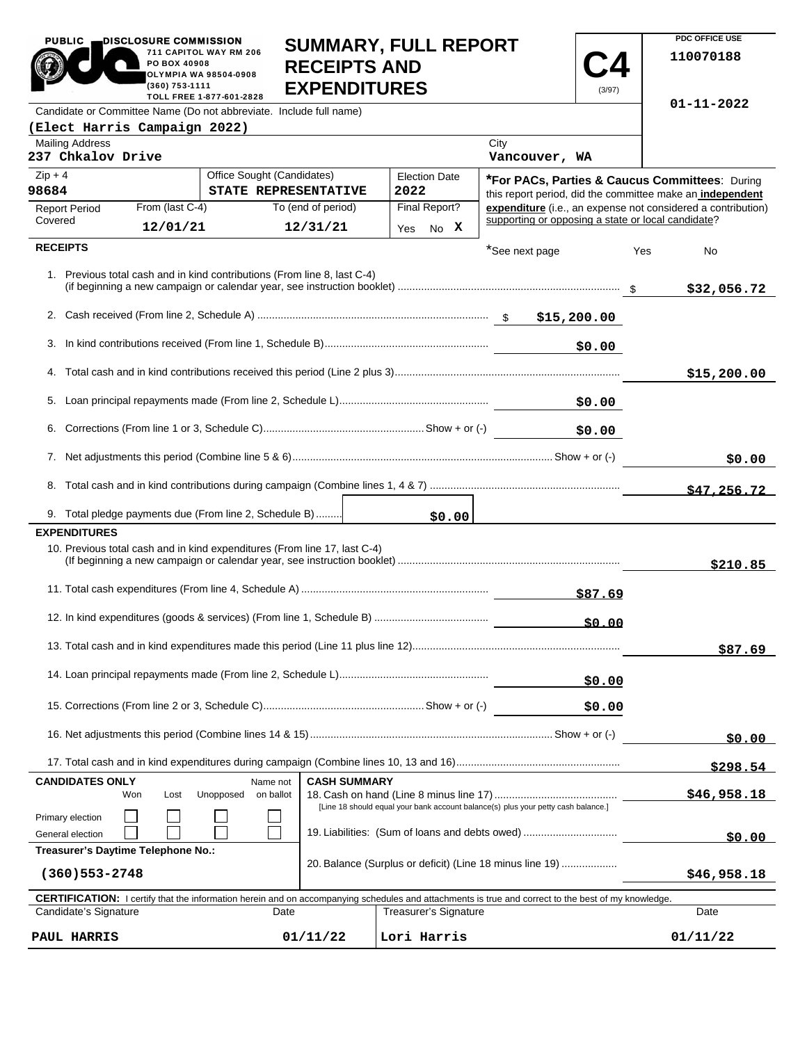| DISCLOSURE COMMISSION<br><b>PUBLIC</b><br>711 CAPITOL WAY RM 206<br>PO BOX 40908<br><b>OLYMPIA WA 98504-0908</b><br>(360) 753-1111<br>TOLL FREE 1-877-601-2828 | <b>SUMMARY, FULL REPORT</b><br><b>RECEIPTS AND</b><br><b>EXPENDITURES</b> | (3/97) |
|----------------------------------------------------------------------------------------------------------------------------------------------------------------|---------------------------------------------------------------------------|--------|
| Candidate or Committee Name (Do not abbreviate. Include full name)                                                                                             |                                                                           |        |
| (Elect Harris Campaign 2022)                                                                                                                                   |                                                                           |        |
| Mailing Address<br>237 Chkalov Drive                                                                                                                           | City<br>Vancouver, WA                                                     |        |

**PDC OFFICE USE 110070188**

**01-11-2022**

| <b>Mailing Address</b><br>237 Chkalov Drive                                                      |                   |                                                    |                     |                              | City<br>Vancouver, WA                                                                                                                                      |     |                 |
|--------------------------------------------------------------------------------------------------|-------------------|----------------------------------------------------|---------------------|------------------------------|------------------------------------------------------------------------------------------------------------------------------------------------------------|-----|-----------------|
| $Zip + 4$<br>98684                                                                               |                   | Office Sought (Candidates)<br>STATE REPRESENTATIVE |                     | <b>Election Date</b><br>2022 | *For PACs, Parties & Caucus Committees: During<br>this report period, did the committee make an independent                                                |     |                 |
| <b>Report Period</b><br>Covered                                                                  | From (last C-4)   | To (end of period)                                 |                     | Final Report?                | expenditure (i.e., an expense not considered a contribution)<br>supporting or opposing a state or local candidate?                                         |     |                 |
|                                                                                                  | 12/01/21          | 12/31/21                                           |                     | No X<br>Yes                  |                                                                                                                                                            |     |                 |
| <b>RECEIPTS</b>                                                                                  |                   |                                                    |                     |                              | *See next page                                                                                                                                             | Yes | No              |
| 1. Previous total cash and in kind contributions (From line 8, last C-4)                         |                   |                                                    |                     |                              |                                                                                                                                                            |     | \$32,056.72     |
|                                                                                                  |                   |                                                    |                     |                              |                                                                                                                                                            |     |                 |
| 3.                                                                                               |                   |                                                    |                     |                              | \$0.00                                                                                                                                                     |     |                 |
|                                                                                                  |                   |                                                    |                     |                              |                                                                                                                                                            |     | \$15,200.00     |
|                                                                                                  |                   |                                                    |                     |                              | \$0.00                                                                                                                                                     |     |                 |
| 6.                                                                                               |                   |                                                    |                     |                              | \$0.00                                                                                                                                                     |     |                 |
|                                                                                                  |                   |                                                    |                     |                              |                                                                                                                                                            |     | \$0.00          |
| 8.                                                                                               |                   |                                                    |                     |                              |                                                                                                                                                            |     | \$47.256.72     |
| 9. Total pledge payments due (From line 2, Schedule B)                                           |                   |                                                    |                     | \$0.00                       |                                                                                                                                                            |     |                 |
| <b>EXPENDITURES</b><br>10. Previous total cash and in kind expenditures (From line 17, last C-4) |                   |                                                    |                     |                              |                                                                                                                                                            |     | \$210.85        |
|                                                                                                  |                   |                                                    |                     |                              | \$87.69                                                                                                                                                    |     |                 |
|                                                                                                  |                   |                                                    |                     |                              |                                                                                                                                                            |     |                 |
|                                                                                                  |                   |                                                    |                     |                              |                                                                                                                                                            |     | \$87.69         |
|                                                                                                  |                   |                                                    |                     |                              | \$0.00                                                                                                                                                     |     |                 |
|                                                                                                  |                   |                                                    |                     |                              | \$0.00                                                                                                                                                     |     |                 |
|                                                                                                  |                   |                                                    |                     |                              |                                                                                                                                                            |     | \$0.00          |
|                                                                                                  |                   |                                                    |                     |                              |                                                                                                                                                            |     | <u>\$298.54</u> |
| <b>CANDIDATES ONLY</b><br>Won                                                                    | Unopposed<br>Lost | Name not<br>on ballot                              | <b>CASH SUMMARY</b> |                              | [Line 18 should equal your bank account balance(s) plus your petty cash balance.]                                                                          |     | \$46,958.18     |
| Primary election<br>General election                                                             |                   |                                                    |                     |                              | 19. Liabilities: (Sum of loans and debts owed)                                                                                                             |     | \$0.00          |
| Treasurer's Daytime Telephone No.:                                                               |                   |                                                    |                     |                              |                                                                                                                                                            |     |                 |
| $(360)$ 553 – 2748                                                                               |                   |                                                    |                     |                              | 20. Balance (Surplus or deficit) (Line 18 minus line 19)                                                                                                   |     | \$46,958.18     |
| Candidate's Signature                                                                            |                   | Date                                               |                     | Treasurer's Signature        | <b>CERTIFICATION:</b> I certify that the information herein and on accompanying schedules and attachments is true and correct to the best of my knowledge. |     | Date            |
|                                                                                                  |                   |                                                    |                     |                              |                                                                                                                                                            |     |                 |
| PAUL HARRIS                                                                                      |                   | 01/11/22                                           |                     | Lori Harris                  |                                                                                                                                                            |     | 01/11/22        |